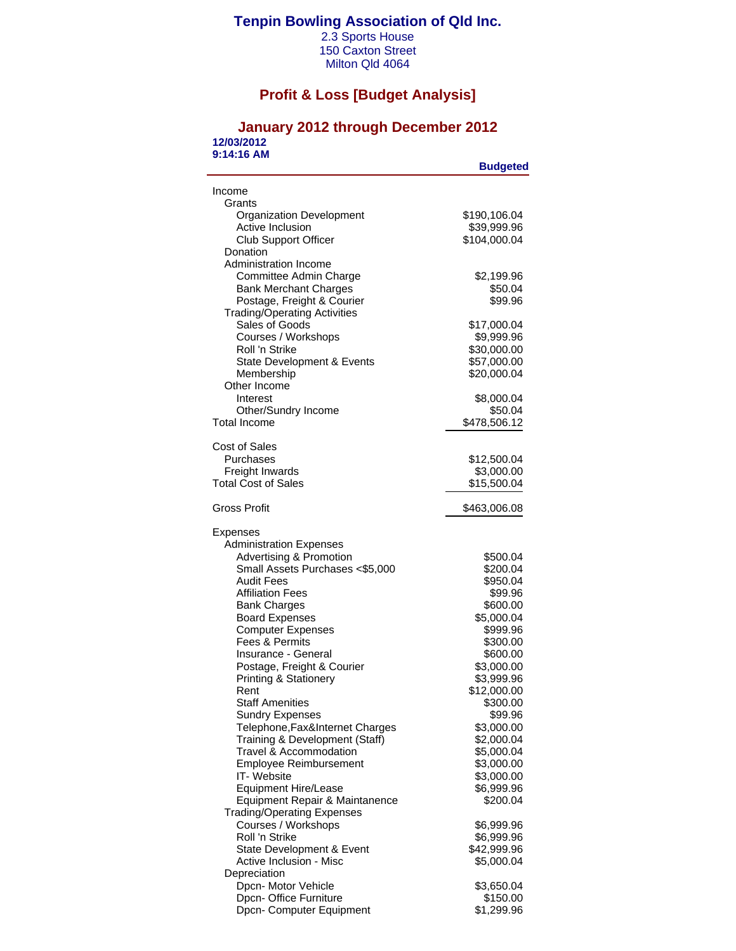### **Tenpin Bowling Association of Qld Inc.**

2.3 Sports House 150 Caxton Street Milton Qld 4064

## **Profit & Loss [Budget Analysis]**

#### **January 2012 through December 2012 12/03/2012 9:14:16 AM**

| Income<br>Grants<br><b>Organization Development</b><br>\$190,106.04<br>Active Inclusion<br>\$39,999.96<br>\$104,000.04<br><b>Club Support Officer</b><br>Donation<br>Administration Income<br>Committee Admin Charge<br>\$2,199.96<br>\$50.04<br><b>Bank Merchant Charges</b><br>Postage, Freight & Courier<br>\$99.96<br><b>Trading/Operating Activities</b><br>Sales of Goods<br>\$17,000.04<br>Courses / Workshops<br>\$9,999.96<br>Roll 'n Strike<br>\$30,000.00<br>\$57,000.00<br>State Development & Events<br>Membership<br>\$20,000.04<br>Other Income<br>Interest<br>\$8,000.04<br>\$50.04<br>Other/Sundry Income<br><b>Total Income</b><br>\$478,506.12<br>Cost of Sales<br>Purchases<br>\$12,500.04<br>Freight Inwards<br>\$3,000.00<br><b>Total Cost of Sales</b><br>\$15,500.04<br>Gross Profit<br>\$463,006.08<br>Expenses<br><b>Administration Expenses</b><br><b>Advertising &amp; Promotion</b><br>\$500.04<br>Small Assets Purchases <\$5,000<br>\$200.04<br><b>Audit Fees</b><br>\$950.04<br><b>Affiliation Fees</b><br>\$99.96<br><b>Bank Charges</b><br>\$600.00<br><b>Board Expenses</b><br>\$5,000.04<br><b>Computer Expenses</b><br>\$999.96<br>Fees & Permits<br>\$300.00<br>Insurance - General<br>\$600.00<br>Postage, Freight & Courier<br>\$3,000.00<br><b>Printing &amp; Stationery</b><br>\$3,999.96<br>\$12,000.00<br>Rent<br><b>Staff Amenities</b><br>\$300.00<br><b>Sundry Expenses</b><br>\$99.96<br>Telephone, Fax&Internet Charges<br>\$3,000.00<br>Training & Development (Staff)<br>\$2,000.04<br>Travel & Accommodation<br>\$5,000.04<br><b>Employee Reimbursement</b><br>\$3,000.00<br>IT-Website<br>\$3,000.00<br>\$6,999.96<br>Equipment Hire/Lease<br>Equipment Repair & Maintanence<br>\$200.04<br><b>Trading/Operating Expenses</b><br>Courses / Workshops<br>\$6,999.96<br>Roll 'n Strike<br>\$6,999.96<br>\$42,999.96<br>State Development & Event<br>Active Inclusion - Misc<br>\$5,000.04<br>Depreciation<br>Dpcn- Motor Vehicle<br>\$3,650.04<br>Dpcn- Office Furniture<br>\$150.00<br>Dpcn- Computer Equipment<br>\$1,299.96 | <b>Budgeted</b> |
|-----------------------------------------------------------------------------------------------------------------------------------------------------------------------------------------------------------------------------------------------------------------------------------------------------------------------------------------------------------------------------------------------------------------------------------------------------------------------------------------------------------------------------------------------------------------------------------------------------------------------------------------------------------------------------------------------------------------------------------------------------------------------------------------------------------------------------------------------------------------------------------------------------------------------------------------------------------------------------------------------------------------------------------------------------------------------------------------------------------------------------------------------------------------------------------------------------------------------------------------------------------------------------------------------------------------------------------------------------------------------------------------------------------------------------------------------------------------------------------------------------------------------------------------------------------------------------------------------------------------------------------------------------------------------------------------------------------------------------------------------------------------------------------------------------------------------------------------------------------------------------------------------------------------------------------------------------------------------------------------------------------------------------------------------------------------------------------|-----------------|
|                                                                                                                                                                                                                                                                                                                                                                                                                                                                                                                                                                                                                                                                                                                                                                                                                                                                                                                                                                                                                                                                                                                                                                                                                                                                                                                                                                                                                                                                                                                                                                                                                                                                                                                                                                                                                                                                                                                                                                                                                                                                                   |                 |
|                                                                                                                                                                                                                                                                                                                                                                                                                                                                                                                                                                                                                                                                                                                                                                                                                                                                                                                                                                                                                                                                                                                                                                                                                                                                                                                                                                                                                                                                                                                                                                                                                                                                                                                                                                                                                                                                                                                                                                                                                                                                                   |                 |
|                                                                                                                                                                                                                                                                                                                                                                                                                                                                                                                                                                                                                                                                                                                                                                                                                                                                                                                                                                                                                                                                                                                                                                                                                                                                                                                                                                                                                                                                                                                                                                                                                                                                                                                                                                                                                                                                                                                                                                                                                                                                                   |                 |
|                                                                                                                                                                                                                                                                                                                                                                                                                                                                                                                                                                                                                                                                                                                                                                                                                                                                                                                                                                                                                                                                                                                                                                                                                                                                                                                                                                                                                                                                                                                                                                                                                                                                                                                                                                                                                                                                                                                                                                                                                                                                                   |                 |
|                                                                                                                                                                                                                                                                                                                                                                                                                                                                                                                                                                                                                                                                                                                                                                                                                                                                                                                                                                                                                                                                                                                                                                                                                                                                                                                                                                                                                                                                                                                                                                                                                                                                                                                                                                                                                                                                                                                                                                                                                                                                                   |                 |
|                                                                                                                                                                                                                                                                                                                                                                                                                                                                                                                                                                                                                                                                                                                                                                                                                                                                                                                                                                                                                                                                                                                                                                                                                                                                                                                                                                                                                                                                                                                                                                                                                                                                                                                                                                                                                                                                                                                                                                                                                                                                                   |                 |
|                                                                                                                                                                                                                                                                                                                                                                                                                                                                                                                                                                                                                                                                                                                                                                                                                                                                                                                                                                                                                                                                                                                                                                                                                                                                                                                                                                                                                                                                                                                                                                                                                                                                                                                                                                                                                                                                                                                                                                                                                                                                                   |                 |
|                                                                                                                                                                                                                                                                                                                                                                                                                                                                                                                                                                                                                                                                                                                                                                                                                                                                                                                                                                                                                                                                                                                                                                                                                                                                                                                                                                                                                                                                                                                                                                                                                                                                                                                                                                                                                                                                                                                                                                                                                                                                                   |                 |
|                                                                                                                                                                                                                                                                                                                                                                                                                                                                                                                                                                                                                                                                                                                                                                                                                                                                                                                                                                                                                                                                                                                                                                                                                                                                                                                                                                                                                                                                                                                                                                                                                                                                                                                                                                                                                                                                                                                                                                                                                                                                                   |                 |
|                                                                                                                                                                                                                                                                                                                                                                                                                                                                                                                                                                                                                                                                                                                                                                                                                                                                                                                                                                                                                                                                                                                                                                                                                                                                                                                                                                                                                                                                                                                                                                                                                                                                                                                                                                                                                                                                                                                                                                                                                                                                                   |                 |
|                                                                                                                                                                                                                                                                                                                                                                                                                                                                                                                                                                                                                                                                                                                                                                                                                                                                                                                                                                                                                                                                                                                                                                                                                                                                                                                                                                                                                                                                                                                                                                                                                                                                                                                                                                                                                                                                                                                                                                                                                                                                                   |                 |
|                                                                                                                                                                                                                                                                                                                                                                                                                                                                                                                                                                                                                                                                                                                                                                                                                                                                                                                                                                                                                                                                                                                                                                                                                                                                                                                                                                                                                                                                                                                                                                                                                                                                                                                                                                                                                                                                                                                                                                                                                                                                                   |                 |
|                                                                                                                                                                                                                                                                                                                                                                                                                                                                                                                                                                                                                                                                                                                                                                                                                                                                                                                                                                                                                                                                                                                                                                                                                                                                                                                                                                                                                                                                                                                                                                                                                                                                                                                                                                                                                                                                                                                                                                                                                                                                                   |                 |
|                                                                                                                                                                                                                                                                                                                                                                                                                                                                                                                                                                                                                                                                                                                                                                                                                                                                                                                                                                                                                                                                                                                                                                                                                                                                                                                                                                                                                                                                                                                                                                                                                                                                                                                                                                                                                                                                                                                                                                                                                                                                                   |                 |
|                                                                                                                                                                                                                                                                                                                                                                                                                                                                                                                                                                                                                                                                                                                                                                                                                                                                                                                                                                                                                                                                                                                                                                                                                                                                                                                                                                                                                                                                                                                                                                                                                                                                                                                                                                                                                                                                                                                                                                                                                                                                                   |                 |
|                                                                                                                                                                                                                                                                                                                                                                                                                                                                                                                                                                                                                                                                                                                                                                                                                                                                                                                                                                                                                                                                                                                                                                                                                                                                                                                                                                                                                                                                                                                                                                                                                                                                                                                                                                                                                                                                                                                                                                                                                                                                                   |                 |
|                                                                                                                                                                                                                                                                                                                                                                                                                                                                                                                                                                                                                                                                                                                                                                                                                                                                                                                                                                                                                                                                                                                                                                                                                                                                                                                                                                                                                                                                                                                                                                                                                                                                                                                                                                                                                                                                                                                                                                                                                                                                                   |                 |
|                                                                                                                                                                                                                                                                                                                                                                                                                                                                                                                                                                                                                                                                                                                                                                                                                                                                                                                                                                                                                                                                                                                                                                                                                                                                                                                                                                                                                                                                                                                                                                                                                                                                                                                                                                                                                                                                                                                                                                                                                                                                                   |                 |
|                                                                                                                                                                                                                                                                                                                                                                                                                                                                                                                                                                                                                                                                                                                                                                                                                                                                                                                                                                                                                                                                                                                                                                                                                                                                                                                                                                                                                                                                                                                                                                                                                                                                                                                                                                                                                                                                                                                                                                                                                                                                                   |                 |
|                                                                                                                                                                                                                                                                                                                                                                                                                                                                                                                                                                                                                                                                                                                                                                                                                                                                                                                                                                                                                                                                                                                                                                                                                                                                                                                                                                                                                                                                                                                                                                                                                                                                                                                                                                                                                                                                                                                                                                                                                                                                                   |                 |
|                                                                                                                                                                                                                                                                                                                                                                                                                                                                                                                                                                                                                                                                                                                                                                                                                                                                                                                                                                                                                                                                                                                                                                                                                                                                                                                                                                                                                                                                                                                                                                                                                                                                                                                                                                                                                                                                                                                                                                                                                                                                                   |                 |
|                                                                                                                                                                                                                                                                                                                                                                                                                                                                                                                                                                                                                                                                                                                                                                                                                                                                                                                                                                                                                                                                                                                                                                                                                                                                                                                                                                                                                                                                                                                                                                                                                                                                                                                                                                                                                                                                                                                                                                                                                                                                                   |                 |
|                                                                                                                                                                                                                                                                                                                                                                                                                                                                                                                                                                                                                                                                                                                                                                                                                                                                                                                                                                                                                                                                                                                                                                                                                                                                                                                                                                                                                                                                                                                                                                                                                                                                                                                                                                                                                                                                                                                                                                                                                                                                                   |                 |
|                                                                                                                                                                                                                                                                                                                                                                                                                                                                                                                                                                                                                                                                                                                                                                                                                                                                                                                                                                                                                                                                                                                                                                                                                                                                                                                                                                                                                                                                                                                                                                                                                                                                                                                                                                                                                                                                                                                                                                                                                                                                                   |                 |
|                                                                                                                                                                                                                                                                                                                                                                                                                                                                                                                                                                                                                                                                                                                                                                                                                                                                                                                                                                                                                                                                                                                                                                                                                                                                                                                                                                                                                                                                                                                                                                                                                                                                                                                                                                                                                                                                                                                                                                                                                                                                                   |                 |
|                                                                                                                                                                                                                                                                                                                                                                                                                                                                                                                                                                                                                                                                                                                                                                                                                                                                                                                                                                                                                                                                                                                                                                                                                                                                                                                                                                                                                                                                                                                                                                                                                                                                                                                                                                                                                                                                                                                                                                                                                                                                                   |                 |
|                                                                                                                                                                                                                                                                                                                                                                                                                                                                                                                                                                                                                                                                                                                                                                                                                                                                                                                                                                                                                                                                                                                                                                                                                                                                                                                                                                                                                                                                                                                                                                                                                                                                                                                                                                                                                                                                                                                                                                                                                                                                                   |                 |
|                                                                                                                                                                                                                                                                                                                                                                                                                                                                                                                                                                                                                                                                                                                                                                                                                                                                                                                                                                                                                                                                                                                                                                                                                                                                                                                                                                                                                                                                                                                                                                                                                                                                                                                                                                                                                                                                                                                                                                                                                                                                                   |                 |
|                                                                                                                                                                                                                                                                                                                                                                                                                                                                                                                                                                                                                                                                                                                                                                                                                                                                                                                                                                                                                                                                                                                                                                                                                                                                                                                                                                                                                                                                                                                                                                                                                                                                                                                                                                                                                                                                                                                                                                                                                                                                                   |                 |
|                                                                                                                                                                                                                                                                                                                                                                                                                                                                                                                                                                                                                                                                                                                                                                                                                                                                                                                                                                                                                                                                                                                                                                                                                                                                                                                                                                                                                                                                                                                                                                                                                                                                                                                                                                                                                                                                                                                                                                                                                                                                                   |                 |
|                                                                                                                                                                                                                                                                                                                                                                                                                                                                                                                                                                                                                                                                                                                                                                                                                                                                                                                                                                                                                                                                                                                                                                                                                                                                                                                                                                                                                                                                                                                                                                                                                                                                                                                                                                                                                                                                                                                                                                                                                                                                                   |                 |
|                                                                                                                                                                                                                                                                                                                                                                                                                                                                                                                                                                                                                                                                                                                                                                                                                                                                                                                                                                                                                                                                                                                                                                                                                                                                                                                                                                                                                                                                                                                                                                                                                                                                                                                                                                                                                                                                                                                                                                                                                                                                                   |                 |
|                                                                                                                                                                                                                                                                                                                                                                                                                                                                                                                                                                                                                                                                                                                                                                                                                                                                                                                                                                                                                                                                                                                                                                                                                                                                                                                                                                                                                                                                                                                                                                                                                                                                                                                                                                                                                                                                                                                                                                                                                                                                                   |                 |
|                                                                                                                                                                                                                                                                                                                                                                                                                                                                                                                                                                                                                                                                                                                                                                                                                                                                                                                                                                                                                                                                                                                                                                                                                                                                                                                                                                                                                                                                                                                                                                                                                                                                                                                                                                                                                                                                                                                                                                                                                                                                                   |                 |
|                                                                                                                                                                                                                                                                                                                                                                                                                                                                                                                                                                                                                                                                                                                                                                                                                                                                                                                                                                                                                                                                                                                                                                                                                                                                                                                                                                                                                                                                                                                                                                                                                                                                                                                                                                                                                                                                                                                                                                                                                                                                                   |                 |
|                                                                                                                                                                                                                                                                                                                                                                                                                                                                                                                                                                                                                                                                                                                                                                                                                                                                                                                                                                                                                                                                                                                                                                                                                                                                                                                                                                                                                                                                                                                                                                                                                                                                                                                                                                                                                                                                                                                                                                                                                                                                                   |                 |
|                                                                                                                                                                                                                                                                                                                                                                                                                                                                                                                                                                                                                                                                                                                                                                                                                                                                                                                                                                                                                                                                                                                                                                                                                                                                                                                                                                                                                                                                                                                                                                                                                                                                                                                                                                                                                                                                                                                                                                                                                                                                                   |                 |
|                                                                                                                                                                                                                                                                                                                                                                                                                                                                                                                                                                                                                                                                                                                                                                                                                                                                                                                                                                                                                                                                                                                                                                                                                                                                                                                                                                                                                                                                                                                                                                                                                                                                                                                                                                                                                                                                                                                                                                                                                                                                                   |                 |
|                                                                                                                                                                                                                                                                                                                                                                                                                                                                                                                                                                                                                                                                                                                                                                                                                                                                                                                                                                                                                                                                                                                                                                                                                                                                                                                                                                                                                                                                                                                                                                                                                                                                                                                                                                                                                                                                                                                                                                                                                                                                                   |                 |
|                                                                                                                                                                                                                                                                                                                                                                                                                                                                                                                                                                                                                                                                                                                                                                                                                                                                                                                                                                                                                                                                                                                                                                                                                                                                                                                                                                                                                                                                                                                                                                                                                                                                                                                                                                                                                                                                                                                                                                                                                                                                                   |                 |
|                                                                                                                                                                                                                                                                                                                                                                                                                                                                                                                                                                                                                                                                                                                                                                                                                                                                                                                                                                                                                                                                                                                                                                                                                                                                                                                                                                                                                                                                                                                                                                                                                                                                                                                                                                                                                                                                                                                                                                                                                                                                                   |                 |
|                                                                                                                                                                                                                                                                                                                                                                                                                                                                                                                                                                                                                                                                                                                                                                                                                                                                                                                                                                                                                                                                                                                                                                                                                                                                                                                                                                                                                                                                                                                                                                                                                                                                                                                                                                                                                                                                                                                                                                                                                                                                                   |                 |
|                                                                                                                                                                                                                                                                                                                                                                                                                                                                                                                                                                                                                                                                                                                                                                                                                                                                                                                                                                                                                                                                                                                                                                                                                                                                                                                                                                                                                                                                                                                                                                                                                                                                                                                                                                                                                                                                                                                                                                                                                                                                                   |                 |
|                                                                                                                                                                                                                                                                                                                                                                                                                                                                                                                                                                                                                                                                                                                                                                                                                                                                                                                                                                                                                                                                                                                                                                                                                                                                                                                                                                                                                                                                                                                                                                                                                                                                                                                                                                                                                                                                                                                                                                                                                                                                                   |                 |
|                                                                                                                                                                                                                                                                                                                                                                                                                                                                                                                                                                                                                                                                                                                                                                                                                                                                                                                                                                                                                                                                                                                                                                                                                                                                                                                                                                                                                                                                                                                                                                                                                                                                                                                                                                                                                                                                                                                                                                                                                                                                                   |                 |
|                                                                                                                                                                                                                                                                                                                                                                                                                                                                                                                                                                                                                                                                                                                                                                                                                                                                                                                                                                                                                                                                                                                                                                                                                                                                                                                                                                                                                                                                                                                                                                                                                                                                                                                                                                                                                                                                                                                                                                                                                                                                                   |                 |
|                                                                                                                                                                                                                                                                                                                                                                                                                                                                                                                                                                                                                                                                                                                                                                                                                                                                                                                                                                                                                                                                                                                                                                                                                                                                                                                                                                                                                                                                                                                                                                                                                                                                                                                                                                                                                                                                                                                                                                                                                                                                                   |                 |
|                                                                                                                                                                                                                                                                                                                                                                                                                                                                                                                                                                                                                                                                                                                                                                                                                                                                                                                                                                                                                                                                                                                                                                                                                                                                                                                                                                                                                                                                                                                                                                                                                                                                                                                                                                                                                                                                                                                                                                                                                                                                                   |                 |
|                                                                                                                                                                                                                                                                                                                                                                                                                                                                                                                                                                                                                                                                                                                                                                                                                                                                                                                                                                                                                                                                                                                                                                                                                                                                                                                                                                                                                                                                                                                                                                                                                                                                                                                                                                                                                                                                                                                                                                                                                                                                                   |                 |
|                                                                                                                                                                                                                                                                                                                                                                                                                                                                                                                                                                                                                                                                                                                                                                                                                                                                                                                                                                                                                                                                                                                                                                                                                                                                                                                                                                                                                                                                                                                                                                                                                                                                                                                                                                                                                                                                                                                                                                                                                                                                                   |                 |
|                                                                                                                                                                                                                                                                                                                                                                                                                                                                                                                                                                                                                                                                                                                                                                                                                                                                                                                                                                                                                                                                                                                                                                                                                                                                                                                                                                                                                                                                                                                                                                                                                                                                                                                                                                                                                                                                                                                                                                                                                                                                                   |                 |
|                                                                                                                                                                                                                                                                                                                                                                                                                                                                                                                                                                                                                                                                                                                                                                                                                                                                                                                                                                                                                                                                                                                                                                                                                                                                                                                                                                                                                                                                                                                                                                                                                                                                                                                                                                                                                                                                                                                                                                                                                                                                                   |                 |
|                                                                                                                                                                                                                                                                                                                                                                                                                                                                                                                                                                                                                                                                                                                                                                                                                                                                                                                                                                                                                                                                                                                                                                                                                                                                                                                                                                                                                                                                                                                                                                                                                                                                                                                                                                                                                                                                                                                                                                                                                                                                                   |                 |
|                                                                                                                                                                                                                                                                                                                                                                                                                                                                                                                                                                                                                                                                                                                                                                                                                                                                                                                                                                                                                                                                                                                                                                                                                                                                                                                                                                                                                                                                                                                                                                                                                                                                                                                                                                                                                                                                                                                                                                                                                                                                                   |                 |
|                                                                                                                                                                                                                                                                                                                                                                                                                                                                                                                                                                                                                                                                                                                                                                                                                                                                                                                                                                                                                                                                                                                                                                                                                                                                                                                                                                                                                                                                                                                                                                                                                                                                                                                                                                                                                                                                                                                                                                                                                                                                                   |                 |
|                                                                                                                                                                                                                                                                                                                                                                                                                                                                                                                                                                                                                                                                                                                                                                                                                                                                                                                                                                                                                                                                                                                                                                                                                                                                                                                                                                                                                                                                                                                                                                                                                                                                                                                                                                                                                                                                                                                                                                                                                                                                                   |                 |
|                                                                                                                                                                                                                                                                                                                                                                                                                                                                                                                                                                                                                                                                                                                                                                                                                                                                                                                                                                                                                                                                                                                                                                                                                                                                                                                                                                                                                                                                                                                                                                                                                                                                                                                                                                                                                                                                                                                                                                                                                                                                                   |                 |